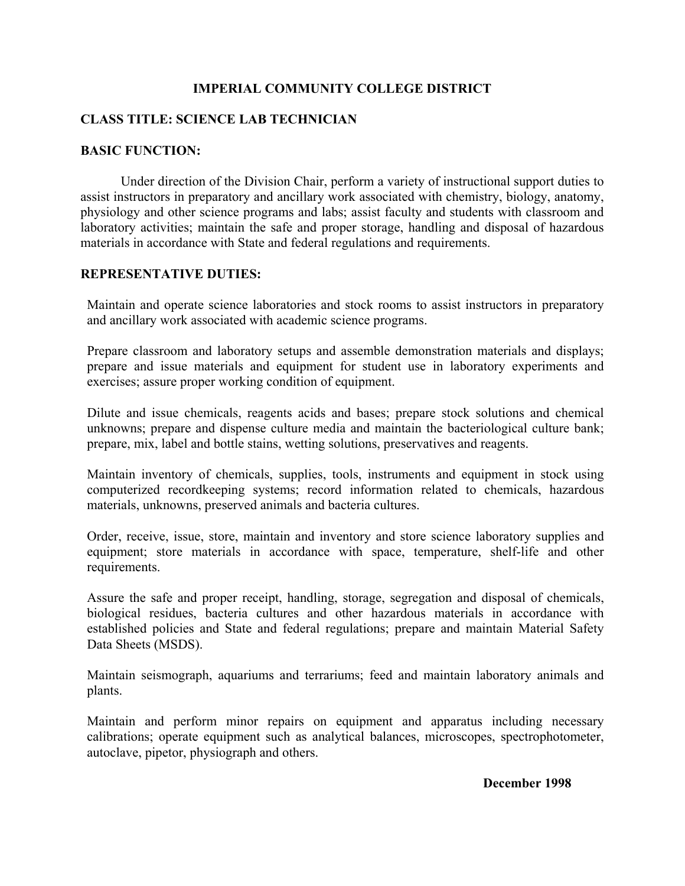### **IMPERIAL COMMUNITY COLLEGE DISTRICT**

# **CLASS TITLE: SCIENCE LAB TECHNICIAN**

### **BASIC FUNCTION:**

 Under direction of the Division Chair, perform a variety of instructional support duties to assist instructors in preparatory and ancillary work associated with chemistry, biology, anatomy, physiology and other science programs and labs; assist faculty and students with classroom and laboratory activities; maintain the safe and proper storage, handling and disposal of hazardous materials in accordance with State and federal regulations and requirements.

### **REPRESENTATIVE DUTIES:**

Maintain and operate science laboratories and stock rooms to assist instructors in preparatory and ancillary work associated with academic science programs.

Prepare classroom and laboratory setups and assemble demonstration materials and displays; prepare and issue materials and equipment for student use in laboratory experiments and exercises; assure proper working condition of equipment.

Dilute and issue chemicals, reagents acids and bases; prepare stock solutions and chemical unknowns; prepare and dispense culture media and maintain the bacteriological culture bank; prepare, mix, label and bottle stains, wetting solutions, preservatives and reagents.

Maintain inventory of chemicals, supplies, tools, instruments and equipment in stock using computerized recordkeeping systems; record information related to chemicals, hazardous materials, unknowns, preserved animals and bacteria cultures.

Order, receive, issue, store, maintain and inventory and store science laboratory supplies and equipment; store materials in accordance with space, temperature, shelf-life and other requirements.

Assure the safe and proper receipt, handling, storage, segregation and disposal of chemicals, biological residues, bacteria cultures and other hazardous materials in accordance with established policies and State and federal regulations; prepare and maintain Material Safety Data Sheets (MSDS).

Maintain seismograph, aquariums and terrariums; feed and maintain laboratory animals and plants.

Maintain and perform minor repairs on equipment and apparatus including necessary calibrations; operate equipment such as analytical balances, microscopes, spectrophotometer, autoclave, pipetor, physiograph and others.

#### **December 1998**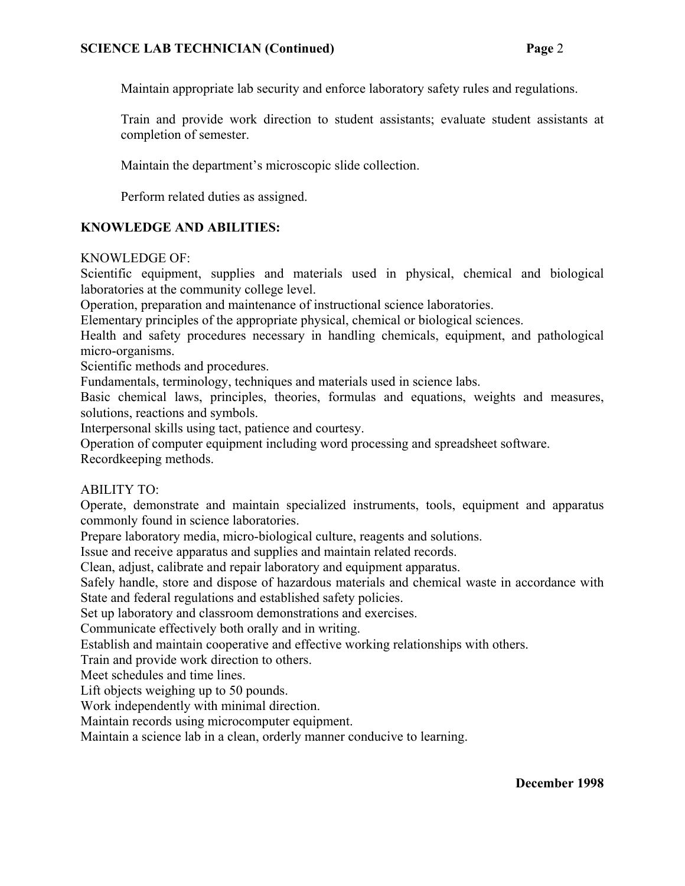Maintain appropriate lab security and enforce laboratory safety rules and regulations.

Train and provide work direction to student assistants; evaluate student assistants at completion of semester.

Maintain the department's microscopic slide collection.

Perform related duties as assigned.

# **KNOWLEDGE AND ABILITIES:**

# KNOWLEDGE OF:

Scientific equipment, supplies and materials used in physical, chemical and biological laboratories at the community college level.

Operation, preparation and maintenance of instructional science laboratories.

Elementary principles of the appropriate physical, chemical or biological sciences.

Health and safety procedures necessary in handling chemicals, equipment, and pathological micro-organisms.

Scientific methods and procedures.

Fundamentals, terminology, techniques and materials used in science labs.

Basic chemical laws, principles, theories, formulas and equations, weights and measures, solutions, reactions and symbols.

Interpersonal skills using tact, patience and courtesy.

Operation of computer equipment including word processing and spreadsheet software.

Recordkeeping methods.

# ABILITY TO:

Operate, demonstrate and maintain specialized instruments, tools, equipment and apparatus commonly found in science laboratories.

Prepare laboratory media, micro-biological culture, reagents and solutions.

Issue and receive apparatus and supplies and maintain related records.

Clean, adjust, calibrate and repair laboratory and equipment apparatus.

Safely handle, store and dispose of hazardous materials and chemical waste in accordance with State and federal regulations and established safety policies.

Set up laboratory and classroom demonstrations and exercises.

Communicate effectively both orally and in writing.

Establish and maintain cooperative and effective working relationships with others.

Train and provide work direction to others.

Meet schedules and time lines.

Lift objects weighing up to 50 pounds.

Work independently with minimal direction.

Maintain records using microcomputer equipment.

Maintain a science lab in a clean, orderly manner conducive to learning.